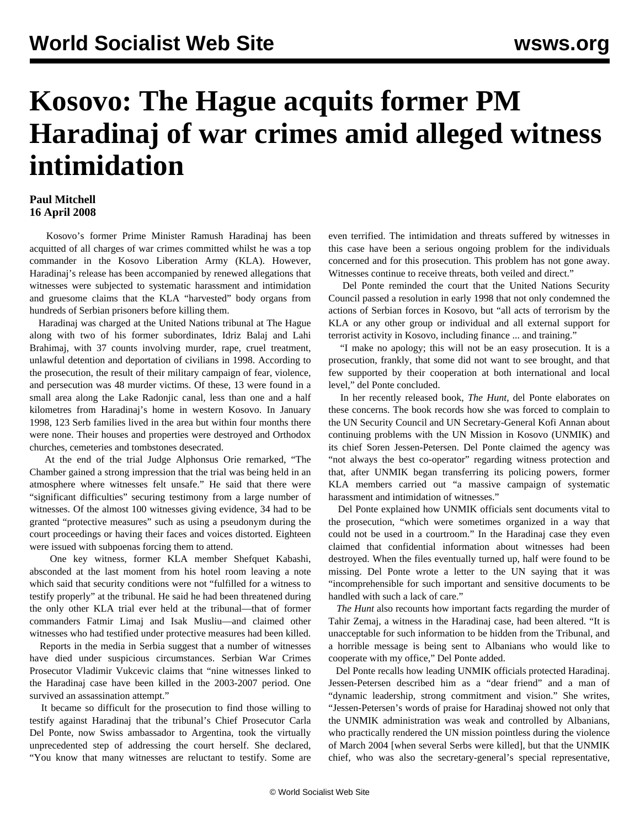## **Kosovo: The Hague acquits former PM Haradinaj of war crimes amid alleged witness intimidation**

## **Paul Mitchell 16 April 2008**

 Kosovo's former Prime Minister Ramush Haradinaj has been acquitted of all charges of war crimes committed whilst he was a top commander in the Kosovo Liberation Army (KLA). However, Haradinaj's release has been accompanied by renewed allegations that witnesses were subjected to systematic harassment and intimidation and gruesome claims that the KLA "harvested" body organs from hundreds of Serbian prisoners before killing them.

 Haradinaj was charged at the United Nations tribunal at The Hague along with two of his former subordinates, Idriz Balaj and Lahi Brahimaj, with 37 counts involving murder, rape, cruel treatment, unlawful detention and deportation of civilians in 1998. According to the prosecution, the result of their military campaign of fear, violence, and persecution was 48 murder victims. Of these, 13 were found in a small area along the Lake Radonjic canal, less than one and a half kilometres from Haradinaj's home in western Kosovo. In January 1998, 123 Serb families lived in the area but within four months there were none. Their houses and properties were destroyed and Orthodox churches, cemeteries and tombstones desecrated.

 At the end of the trial Judge Alphonsus Orie remarked, "The Chamber gained a strong impression that the trial was being held in an atmosphere where witnesses felt unsafe." He said that there were "significant difficulties" securing testimony from a large number of witnesses. Of the almost 100 witnesses giving evidence, 34 had to be granted "protective measures" such as using a pseudonym during the court proceedings or having their faces and voices distorted. Eighteen were issued with subpoenas forcing them to attend.

 One key witness, former KLA member Shefquet Kabashi, absconded at the last moment from his hotel room leaving a note which said that security conditions were not "fulfilled for a witness to testify properly" at the tribunal. He said he had been threatened during the only other KLA trial ever held at the tribunal—that of former commanders Fatmir Limaj and Isak Musliu—and claimed other witnesses who had testified under protective measures had been killed.

 Reports in the media in Serbia suggest that a number of witnesses have died under suspicious circumstances. Serbian War Crimes Prosecutor Vladimir Vukcevic claims that "nine witnesses linked to the Haradinaj case have been killed in the 2003-2007 period. One survived an assassination attempt."

 It became so difficult for the prosecution to find those willing to testify against Haradinaj that the tribunal's Chief Prosecutor Carla Del Ponte, now Swiss ambassador to Argentina, took the virtually unprecedented step of addressing the court herself. She declared, "You know that many witnesses are reluctant to testify. Some are

even terrified. The intimidation and threats suffered by witnesses in this case have been a serious ongoing problem for the individuals concerned and for this prosecution. This problem has not gone away. Witnesses continue to receive threats, both veiled and direct."

 Del Ponte reminded the court that the United Nations Security Council passed a resolution in early 1998 that not only condemned the actions of Serbian forces in Kosovo, but "all acts of terrorism by the KLA or any other group or individual and all external support for terrorist activity in Kosovo, including finance ... and training."

 "I make no apology; this will not be an easy prosecution. It is a prosecution, frankly, that some did not want to see brought, and that few supported by their cooperation at both international and local level," del Ponte concluded.

 In her recently released book, *The Hunt*, del Ponte elaborates on these concerns. The book records how she was forced to complain to the UN Security Council and UN Secretary-General Kofi Annan about continuing problems with the UN Mission in Kosovo (UNMIK) and its chief Soren Jessen-Petersen. Del Ponte claimed the agency was "not always the best co-operator" regarding witness protection and that, after UNMIK began transferring its policing powers, former KLA members carried out "a massive campaign of systematic harassment and intimidation of witnesses."

 Del Ponte explained how UNMIK officials sent documents vital to the prosecution, "which were sometimes organized in a way that could not be used in a courtroom." In the Haradinaj case they even claimed that confidential information about witnesses had been destroyed. When the files eventually turned up, half were found to be missing. Del Ponte wrote a letter to the UN saying that it was "incomprehensible for such important and sensitive documents to be handled with such a lack of care."

 *The Hunt* also recounts how important facts regarding the murder of Tahir Zemaj, a witness in the Haradinaj case, had been altered. "It is unacceptable for such information to be hidden from the Tribunal, and a horrible message is being sent to Albanians who would like to cooperate with my office," Del Ponte added.

 Del Ponte recalls how leading UNMIK officials protected Haradinaj. Jessen-Petersen described him as a "dear friend" and a man of "dynamic leadership, strong commitment and vision." She writes, "Jessen-Petersen's words of praise for Haradinaj showed not only that the UNMIK administration was weak and controlled by Albanians, who practically rendered the UN mission pointless during the violence of March 2004 [when several Serbs were killed], but that the UNMIK chief, who was also the secretary-general's special representative,